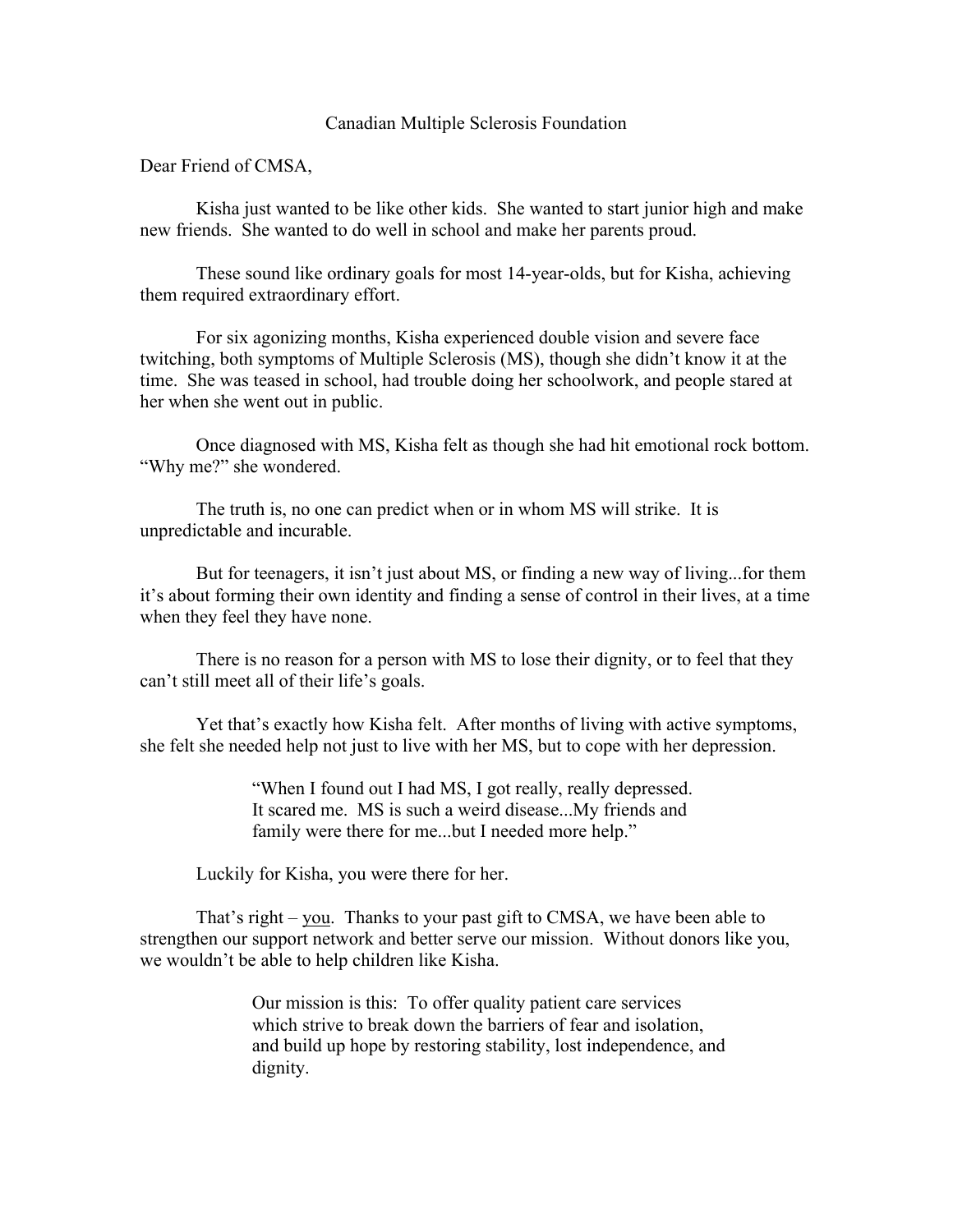## Canadian Multiple Sclerosis Foundation

Dear Friend of CMSA,

Kisha just wanted to be like other kids. She wanted to start junior high and make new friends. She wanted to do well in school and make her parents proud.

These sound like ordinary goals for most 14-year-olds, but for Kisha, achieving them required extraordinary effort.

For six agonizing months, Kisha experienced double vision and severe face twitching, both symptoms of Multiple Sclerosis (MS), though she didn't know it at the time. She was teased in school, had trouble doing her schoolwork, and people stared at her when she went out in public.

Once diagnosed with MS, Kisha felt as though she had hit emotional rock bottom. "Why me?" she wondered.

The truth is, no one can predict when or in whom MS will strike. It is unpredictable and incurable.

But for teenagers, it isn't just about MS, or finding a new way of living...for them it's about forming their own identity and finding a sense of control in their lives, at a time when they feel they have none.

There is no reason for a person with MS to lose their dignity, or to feel that they can't still meet all of their life's goals.

Yet that's exactly how Kisha felt. After months of living with active symptoms, she felt she needed help not just to live with her MS, but to cope with her depression.

> "When I found out I had MS, I got really, really depressed. It scared me. MS is such a weird disease...My friends and family were there for me...but I needed more help."

Luckily for Kisha, you were there for her.

That's right – you. Thanks to your past gift to CMSA, we have been able to strengthen our support network and better serve our mission. Without donors like you, we wouldn't be able to help children like Kisha.

> Our mission is this: To offer quality patient care services which strive to break down the barriers of fear and isolation, and build up hope by restoring stability, lost independence, and dignity.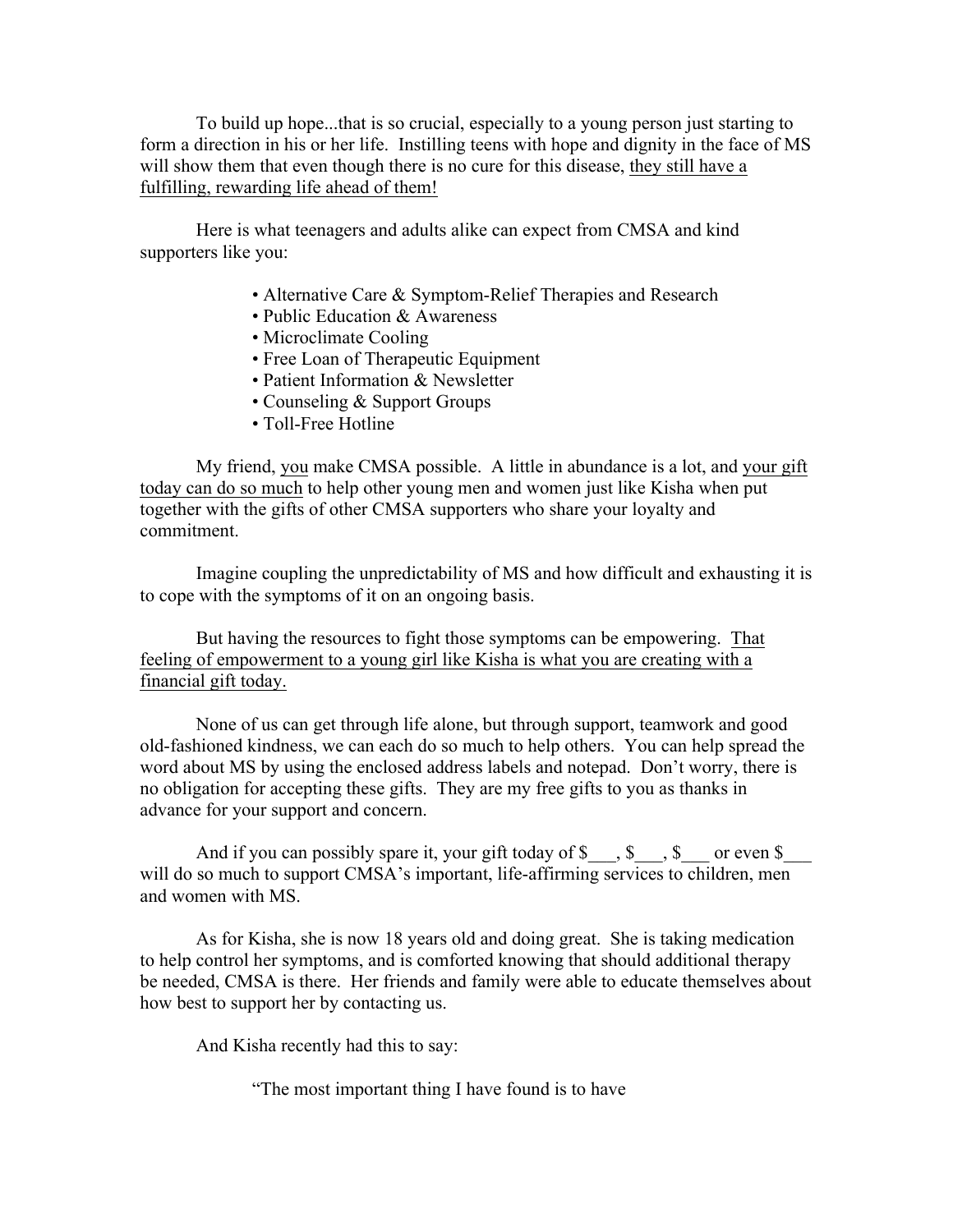To build up hope...that is so crucial, especially to a young person just starting to form a direction in his or her life. Instilling teens with hope and dignity in the face of MS will show them that even though there is no cure for this disease, they still have a fulfilling, rewarding life ahead of them!

Here is what teenagers and adults alike can expect from CMSA and kind supporters like you:

- Alternative Care & Symptom-Relief Therapies and Research
- Public Education & Awareness
- Microclimate Cooling
- Free Loan of Therapeutic Equipment
- Patient Information & Newsletter
- Counseling & Support Groups
- Toll-Free Hotline

My friend, you make CMSA possible. A little in abundance is a lot, and your gift today can do so much to help other young men and women just like Kisha when put together with the gifts of other CMSA supporters who share your loyalty and commitment.

Imagine coupling the unpredictability of MS and how difficult and exhausting it is to cope with the symptoms of it on an ongoing basis.

But having the resources to fight those symptoms can be empowering. That feeling of empowerment to a young girl like Kisha is what you are creating with a financial gift today.

None of us can get through life alone, but through support, teamwork and good old-fashioned kindness, we can each do so much to help others. You can help spread the word about MS by using the enclosed address labels and notepad. Don't worry, there is no obligation for accepting these gifts. They are my free gifts to you as thanks in advance for your support and concern.

And if you can possibly spare it, your gift today of  $\$\$ ,  $\$\$  or even  $\$\$ will do so much to support CMSA's important, life-affirming services to children, men and women with MS.

As for Kisha, she is now 18 years old and doing great. She is taking medication to help control her symptoms, and is comforted knowing that should additional therapy be needed, CMSA is there. Her friends and family were able to educate themselves about how best to support her by contacting us.

And Kisha recently had this to say:

"The most important thing I have found is to have